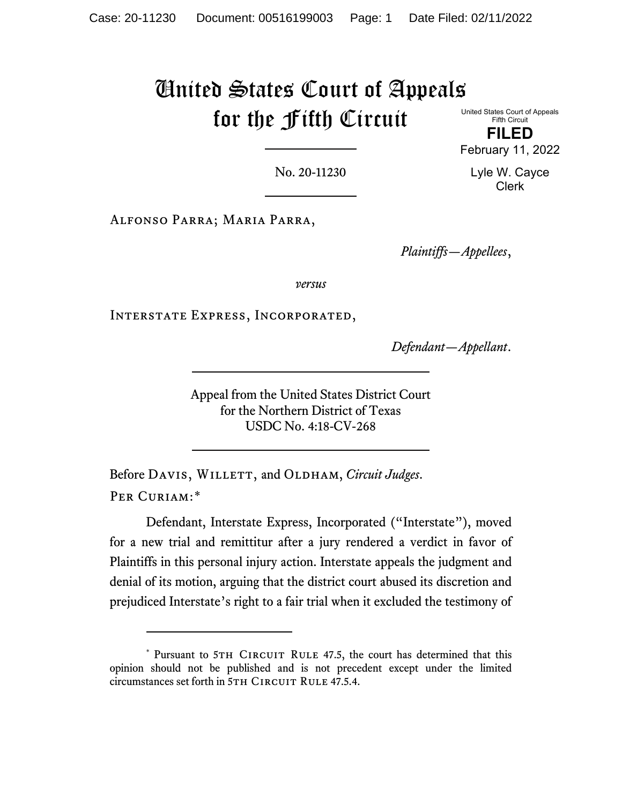# United States Court of Appeals for the Fifth Circuit

United States Court of Appeals Fifth Circuit

**FILED** February 11, 2022

> Lyle W. Cayce Clerk

No. 20-11230

Alfonso Parra; Maria Parra,

*Plaintiffs—Appellees*,

*versus*

Interstate Express, Incorporated,

*Defendant—Appellant*.

Appeal from the United States District Court for the Northern District of Texas USDC No. 4:18-CV-268

Before DAVIS, WILLETT, and OLDHAM, *Circuit Judges*. PER CURIAM:[\\*](#page-0-0)

Defendant, Interstate Express, Incorporated ("Interstate"), moved for a new trial and remittitur after a jury rendered a verdict in favor of Plaintiffs in this personal injury action. Interstate appeals the judgment and denial of its motion, arguing that the district court abused its discretion and prejudiced Interstate's right to a fair trial when it excluded the testimony of

<span id="page-0-0"></span><sup>\*</sup> Pursuant to 5TH CIRCUIT RULE 47.5, the court has determined that this opinion should not be published and is not precedent except under the limited circumstances set forth in 5TH CIRCUIT RULE 47.5.4.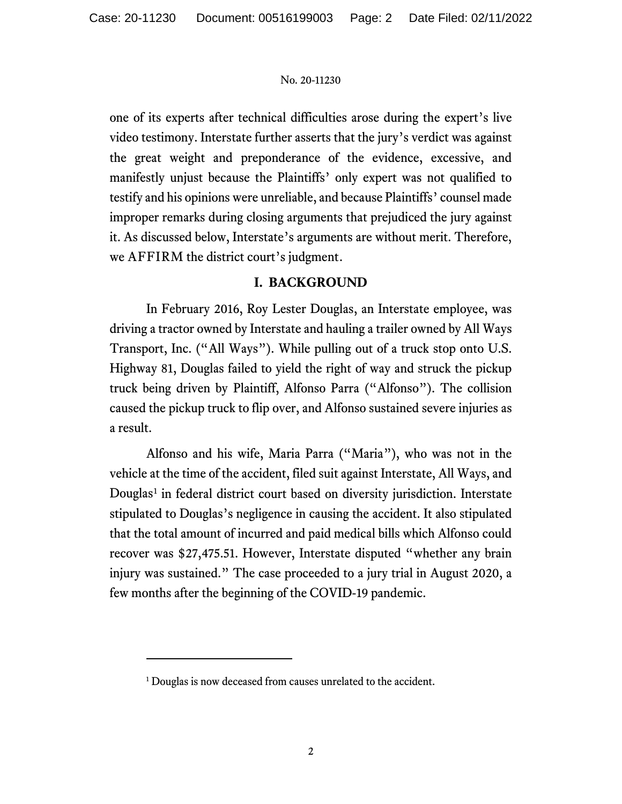one of its experts after technical difficulties arose during the expert's live video testimony. Interstate further asserts that the jury's verdict was against the great weight and preponderance of the evidence, excessive, and manifestly unjust because the Plaintiffs' only expert was not qualified to testify and his opinions were unreliable, and because Plaintiffs' counsel made improper remarks during closing arguments that prejudiced the jury against it. As discussed below, Interstate's arguments are without merit. Therefore, we AFFIRM the district court's judgment.

# **I. BACKGROUND**

In February 2016, Roy Lester Douglas, an Interstate employee, was driving a tractor owned by Interstate and hauling a trailer owned by All Ways Transport, Inc. ("All Ways"). While pulling out of a truck stop onto U.S. Highway 81, Douglas failed to yield the right of way and struck the pickup truck being driven by Plaintiff, Alfonso Parra ("Alfonso"). The collision caused the pickup truck to flip over, and Alfonso sustained severe injuries as a result.

Alfonso and his wife, Maria Parra ("Maria"), who was not in the vehicle at the time of the accident, filed suit against Interstate, All Ways, and Douglas<sup>[1](#page-1-0)</sup> in federal district court based on diversity jurisdiction. Interstate stipulated to Douglas's negligence in causing the accident. It also stipulated that the total amount of incurred and paid medical bills which Alfonso could recover was \$27,475.51. However, Interstate disputed "whether any brain injury was sustained." The case proceeded to a jury trial in August 2020, a few months after the beginning of the COVID-19 pandemic.

<span id="page-1-0"></span><sup>&</sup>lt;sup>1</sup> Douglas is now deceased from causes unrelated to the accident.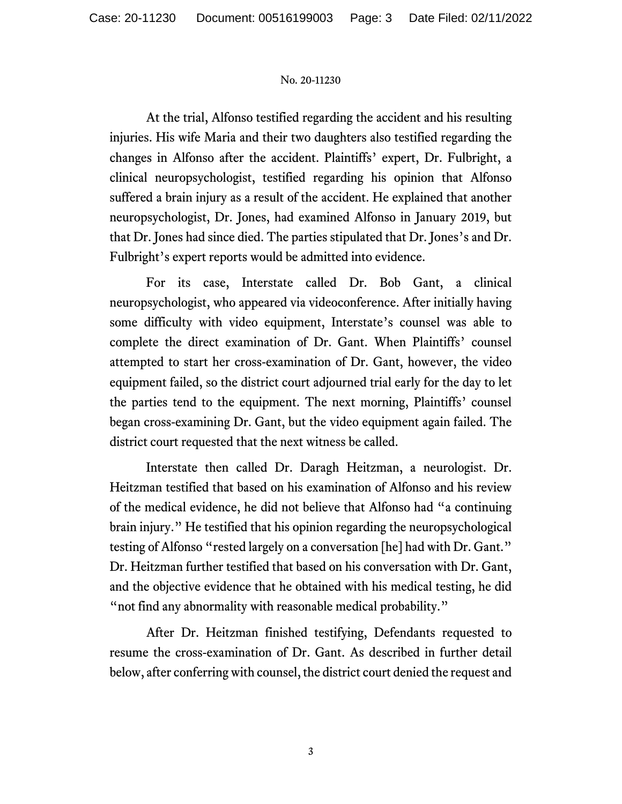At the trial, Alfonso testified regarding the accident and his resulting injuries. His wife Maria and their two daughters also testified regarding the changes in Alfonso after the accident. Plaintiffs' expert, Dr. Fulbright, a clinical neuropsychologist, testified regarding his opinion that Alfonso suffered a brain injury as a result of the accident. He explained that another neuropsychologist, Dr. Jones, had examined Alfonso in January 2019, but that Dr. Jones had since died. The parties stipulated that Dr. Jones's and Dr. Fulbright's expert reports would be admitted into evidence.

For its case, Interstate called Dr. Bob Gant, a clinical neuropsychologist, who appeared via videoconference. After initially having some difficulty with video equipment, Interstate's counsel was able to complete the direct examination of Dr. Gant. When Plaintiffs' counsel attempted to start her cross-examination of Dr. Gant, however, the video equipment failed, so the district court adjourned trial early for the day to let the parties tend to the equipment. The next morning, Plaintiffs' counsel began cross-examining Dr. Gant, but the video equipment again failed. The district court requested that the next witness be called.

Interstate then called Dr. Daragh Heitzman, a neurologist. Dr. Heitzman testified that based on his examination of Alfonso and his review of the medical evidence, he did not believe that Alfonso had "a continuing brain injury." He testified that his opinion regarding the neuropsychological testing of Alfonso "rested largely on a conversation [he] had with Dr. Gant." Dr. Heitzman further testified that based on his conversation with Dr. Gant, and the objective evidence that he obtained with his medical testing, he did "not find any abnormality with reasonable medical probability."

After Dr. Heitzman finished testifying, Defendants requested to resume the cross-examination of Dr. Gant. As described in further detail below, after conferring with counsel, the district court denied the request and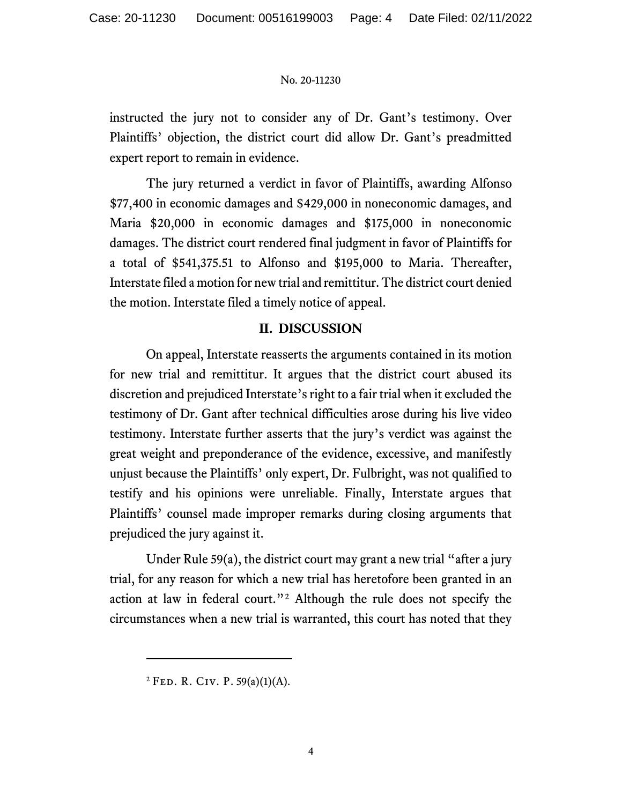instructed the jury not to consider any of Dr. Gant's testimony. Over Plaintiffs' objection, the district court did allow Dr. Gant's preadmitted expert report to remain in evidence.

The jury returned a verdict in favor of Plaintiffs, awarding Alfonso \$77,400 in economic damages and \$429,000 in noneconomic damages, and Maria \$20,000 in economic damages and \$175,000 in noneconomic damages. The district court rendered final judgment in favor of Plaintiffs for a total of \$541,375.51 to Alfonso and \$195,000 to Maria. Thereafter, Interstate filed a motion for new trial and remittitur. The district court denied the motion. Interstate filed a timely notice of appeal.

# **II. DISCUSSION**

On appeal, Interstate reasserts the arguments contained in its motion for new trial and remittitur. It argues that the district court abused its discretion and prejudiced Interstate's right to a fair trial when it excluded the testimony of Dr. Gant after technical difficulties arose during his live video testimony. Interstate further asserts that the jury's verdict was against the great weight and preponderance of the evidence, excessive, and manifestly unjust because the Plaintiffs' only expert, Dr. Fulbright, was not qualified to testify and his opinions were unreliable. Finally, Interstate argues that Plaintiffs' counsel made improper remarks during closing arguments that prejudiced the jury against it.

Under Rule 59(a), the district court may grant a new trial "after a jury trial, for any reason for which a new trial has heretofore been granted in an action at law in federal court."[2](#page-3-0) Although the rule does not specify the circumstances when a new trial is warranted, this court has noted that they

<span id="page-3-0"></span><sup>&</sup>lt;sup>2</sup> FED. R. CIV. P. 59(a)(1)(A).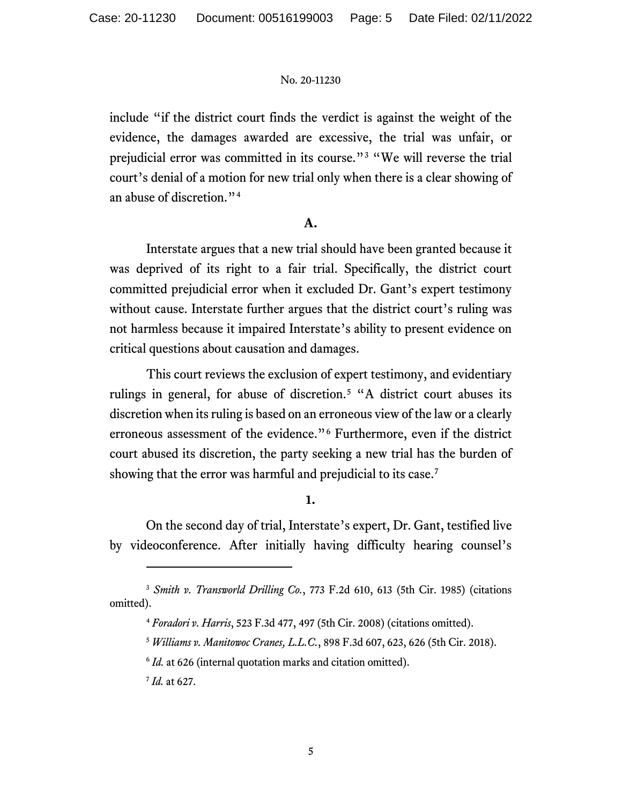include "if the district court finds the verdict is against the weight of the evidence, the damages awarded are excessive, the trial was unfair, or prejudicial error was committed in its course."[3](#page-4-0) "We will reverse the trial court's denial of a motion for new trial only when there is a clear showing of an abuse of discretion."[4](#page-4-1)

## **A.**

Interstate argues that a new trial should have been granted because it was deprived of its right to a fair trial. Specifically, the district court committed prejudicial error when it excluded Dr. Gant's expert testimony without cause. Interstate further argues that the district court's ruling was not harmless because it impaired Interstate's ability to present evidence on critical questions about causation and damages.

This court reviews the exclusion of expert testimony, and evidentiary rulings in general, for abuse of discretion.<sup>[5](#page-4-2)</sup> "A district court abuses its discretion when its ruling is based on an erroneous view of the law or a clearly erroneous assessment of the evidence."[6](#page-4-3) Furthermore, even if the district court abused its discretion, the party seeking a new trial has the burden of showing that the error was harmful and prejudicial to its case.<sup>[7](#page-4-4)</sup>

## **1.**

On the second day of trial, Interstate's expert, Dr. Gant, testified live by videoconference. After initially having difficulty hearing counsel's

<sup>7</sup> *Id.* at 627.

<span id="page-4-4"></span><span id="page-4-3"></span><span id="page-4-2"></span><span id="page-4-1"></span><span id="page-4-0"></span><sup>3</sup> *Smith v. Transworld Drilling Co.*, 773 F.2d 610, 613 (5th Cir. 1985) (citations omitted).

<sup>4</sup> *Foradori v. Harris*, 523 F.3d 477, 497 (5th Cir. 2008) (citations omitted).

<sup>5</sup> *Williams v. Manitowoc Cranes, L.L.C.*, 898 F.3d 607, 623, 626 (5th Cir. 2018).

<sup>&</sup>lt;sup>6</sup> *Id.* at 626 (internal quotation marks and citation omitted).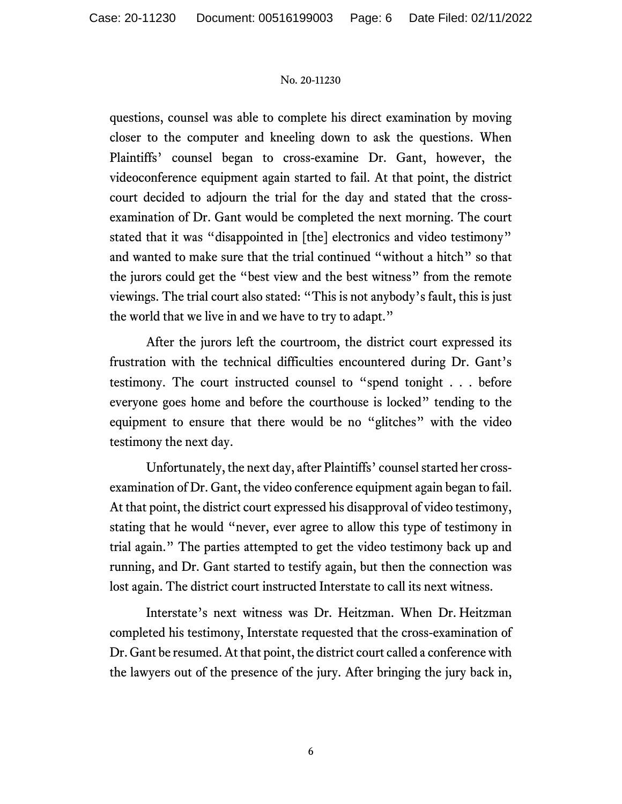questions, counsel was able to complete his direct examination by moving closer to the computer and kneeling down to ask the questions. When Plaintiffs' counsel began to cross-examine Dr. Gant, however, the videoconference equipment again started to fail. At that point, the district court decided to adjourn the trial for the day and stated that the crossexamination of Dr. Gant would be completed the next morning. The court stated that it was "disappointed in [the] electronics and video testimony" and wanted to make sure that the trial continued "without a hitch" so that the jurors could get the "best view and the best witness" from the remote viewings. The trial court also stated: "This is not anybody's fault, this is just the world that we live in and we have to try to adapt."

After the jurors left the courtroom, the district court expressed its frustration with the technical difficulties encountered during Dr. Gant's testimony. The court instructed counsel to "spend tonight . . . before everyone goes home and before the courthouse is locked" tending to the equipment to ensure that there would be no "glitches" with the video testimony the next day.

Unfortunately, the next day, after Plaintiffs' counsel started her crossexamination of Dr. Gant, the video conference equipment again began to fail. At that point, the district court expressed his disapproval of video testimony, stating that he would "never, ever agree to allow this type of testimony in trial again." The parties attempted to get the video testimony back up and running, and Dr. Gant started to testify again, but then the connection was lost again. The district court instructed Interstate to call its next witness.

Interstate's next witness was Dr. Heitzman. When Dr. Heitzman completed his testimony, Interstate requested that the cross-examination of Dr. Gant be resumed. At that point, the district court called a conference with the lawyers out of the presence of the jury. After bringing the jury back in,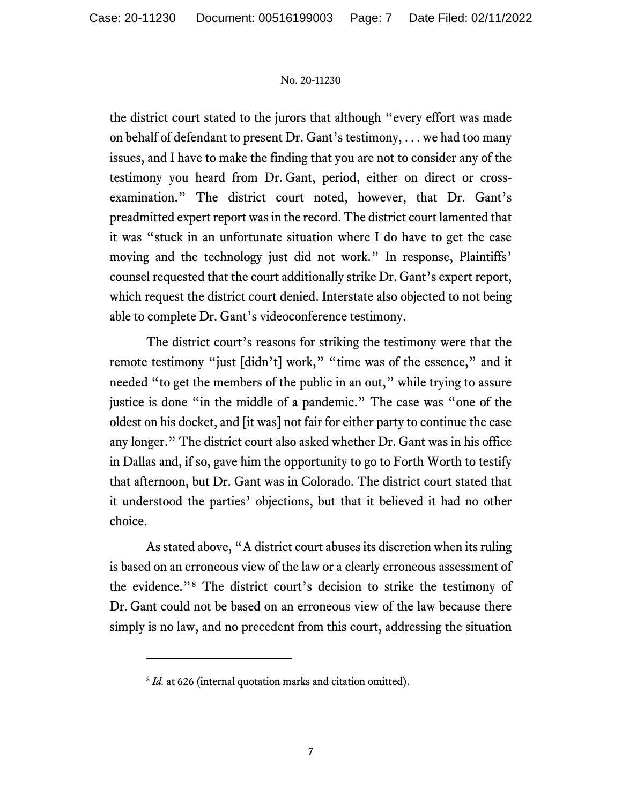the district court stated to the jurors that although "every effort was made on behalf of defendant to present Dr. Gant's testimony, . . . we had too many issues, and I have to make the finding that you are not to consider any of the testimony you heard from Dr. Gant, period, either on direct or crossexamination." The district court noted, however, that Dr. Gant's preadmitted expert report was in the record. The district court lamented that it was "stuck in an unfortunate situation where I do have to get the case moving and the technology just did not work." In response, Plaintiffs' counsel requested that the court additionally strike Dr. Gant's expert report, which request the district court denied. Interstate also objected to not being able to complete Dr. Gant's videoconference testimony.

The district court's reasons for striking the testimony were that the remote testimony "just [didn't] work," "time was of the essence," and it needed "to get the members of the public in an out," while trying to assure justice is done "in the middle of a pandemic." The case was "one of the oldest on his docket, and [it was] not fair for either party to continue the case any longer." The district court also asked whether Dr. Gant was in his office in Dallas and, if so, gave him the opportunity to go to Forth Worth to testify that afternoon, but Dr. Gant was in Colorado. The district court stated that it understood the parties' objections, but that it believed it had no other choice.

As stated above, "A district court abuses its discretion when its ruling is based on an erroneous view of the law or a clearly erroneous assessment of the evidence."[8](#page-6-0) The district court's decision to strike the testimony of Dr. Gant could not be based on an erroneous view of the law because there simply is no law, and no precedent from this court, addressing the situation

<span id="page-6-0"></span><sup>&</sup>lt;sup>8</sup> *Id.* at 626 (internal quotation marks and citation omitted).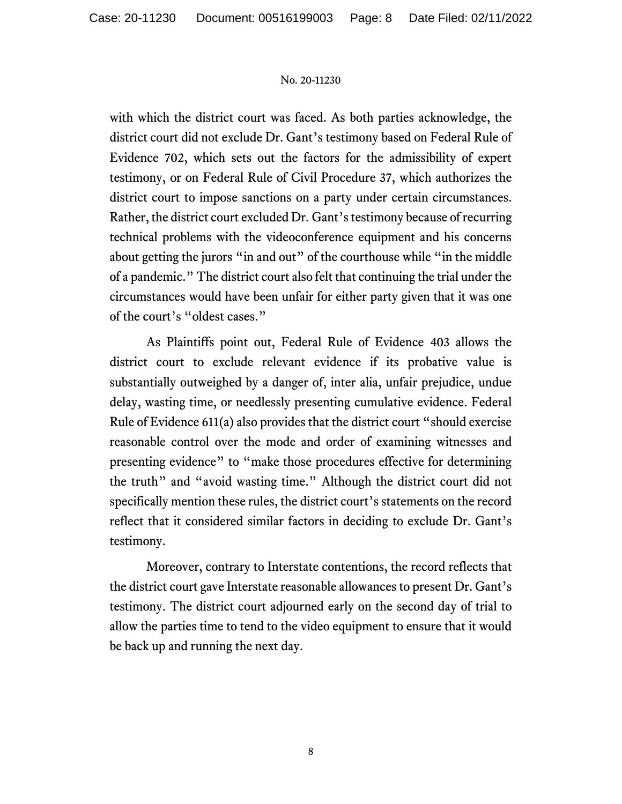with which the district court was faced. As both parties acknowledge, the district court did not exclude Dr. Gant's testimony based on Federal Rule of Evidence 702, which sets out the factors for the admissibility of expert testimony, or on Federal Rule of Civil Procedure 37, which authorizes the district court to impose sanctions on a party under certain circumstances. Rather, the district court excluded Dr. Gant's testimony because of recurring technical problems with the videoconference equipment and his concerns about getting the jurors "in and out" of the courthouse while "in the middle of a pandemic." The district court also felt that continuing the trial under the circumstances would have been unfair for either party given that it was one of the court's "oldest cases."

As Plaintiffs point out, Federal Rule of Evidence 403 allows the district court to exclude relevant evidence if its probative value is substantially outweighed by a danger of, inter alia, unfair prejudice, undue delay, wasting time, or needlessly presenting cumulative evidence. Federal Rule of Evidence 611(a) also provides that the district court "should exercise reasonable control over the mode and order of examining witnesses and presenting evidence" to "make those procedures effective for determining the truth" and "avoid wasting time." Although the district court did not specifically mention these rules, the district court's statements on the record reflect that it considered similar factors in deciding to exclude Dr. Gant's testimony.

Moreover, contrary to Interstate contentions, the record reflects that the district court gave Interstate reasonable allowances to present Dr. Gant's testimony. The district court adjourned early on the second day of trial to allow the parties time to tend to the video equipment to ensure that it would be back up and running the next day.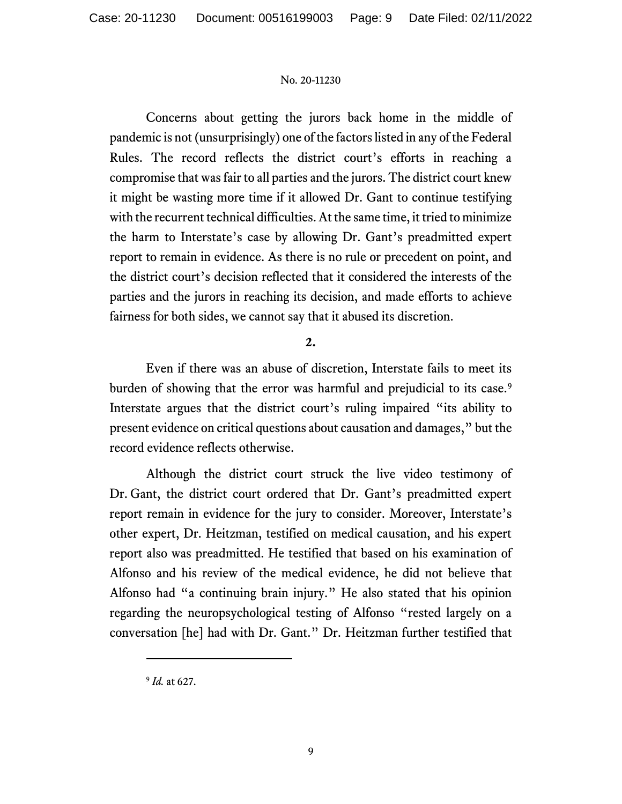Concerns about getting the jurors back home in the middle of pandemic is not (unsurprisingly) one of the factors listed in any of the Federal Rules. The record reflects the district court's efforts in reaching a compromise that was fair to all parties and the jurors. The district court knew it might be wasting more time if it allowed Dr. Gant to continue testifying with the recurrent technical difficulties.At the same time, it tried to minimize the harm to Interstate's case by allowing Dr. Gant's preadmitted expert report to remain in evidence. As there is no rule or precedent on point, and the district court's decision reflected that it considered the interests of the parties and the jurors in reaching its decision, and made efforts to achieve fairness for both sides, we cannot say that it abused its discretion.

# **2.**

Even if there was an abuse of discretion, Interstate fails to meet its burden of showing that the error was harmful and prejudicial to its case.<sup>[9](#page-8-0)</sup> Interstate argues that the district court's ruling impaired "its ability to present evidence on critical questions about causation and damages," but the record evidence reflects otherwise.

Although the district court struck the live video testimony of Dr. Gant, the district court ordered that Dr. Gant's preadmitted expert report remain in evidence for the jury to consider. Moreover, Interstate's other expert, Dr. Heitzman, testified on medical causation, and his expert report also was preadmitted. He testified that based on his examination of Alfonso and his review of the medical evidence, he did not believe that Alfonso had "a continuing brain injury." He also stated that his opinion regarding the neuropsychological testing of Alfonso "rested largely on a conversation [he] had with Dr. Gant." Dr. Heitzman further testified that

<span id="page-8-0"></span><sup>9</sup> *Id.* at 627.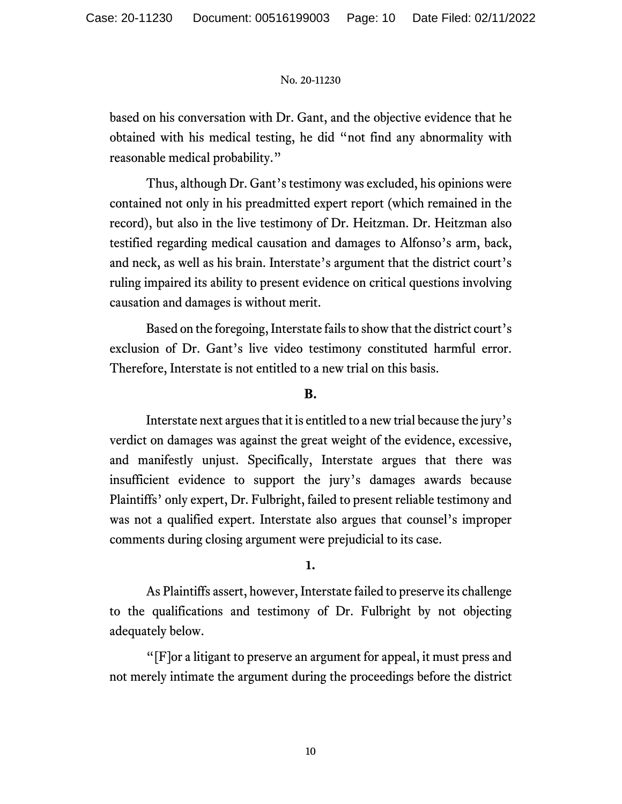based on his conversation with Dr. Gant, and the objective evidence that he obtained with his medical testing, he did "not find any abnormality with reasonable medical probability."

Thus, although Dr. Gant's testimony was excluded, his opinions were contained not only in his preadmitted expert report (which remained in the record), but also in the live testimony of Dr. Heitzman. Dr. Heitzman also testified regarding medical causation and damages to Alfonso's arm, back, and neck, as well as his brain. Interstate's argument that the district court's ruling impaired its ability to present evidence on critical questions involving causation and damages is without merit.

Based on the foregoing, Interstate fails to show that the district court's exclusion of Dr. Gant's live video testimony constituted harmful error. Therefore, Interstate is not entitled to a new trial on this basis.

# **B.**

Interstate next argues that it is entitled to a new trial because the jury's verdict on damages was against the great weight of the evidence, excessive, and manifestly unjust. Specifically, Interstate argues that there was insufficient evidence to support the jury's damages awards because Plaintiffs' only expert, Dr. Fulbright, failed to present reliable testimony and was not a qualified expert. Interstate also argues that counsel's improper comments during closing argument were prejudicial to its case.

## **1.**

As Plaintiffs assert, however, Interstate failed to preserve its challenge to the qualifications and testimony of Dr. Fulbright by not objecting adequately below.

"[F]or a litigant to preserve an argument for appeal, it must press and not merely intimate the argument during the proceedings before the district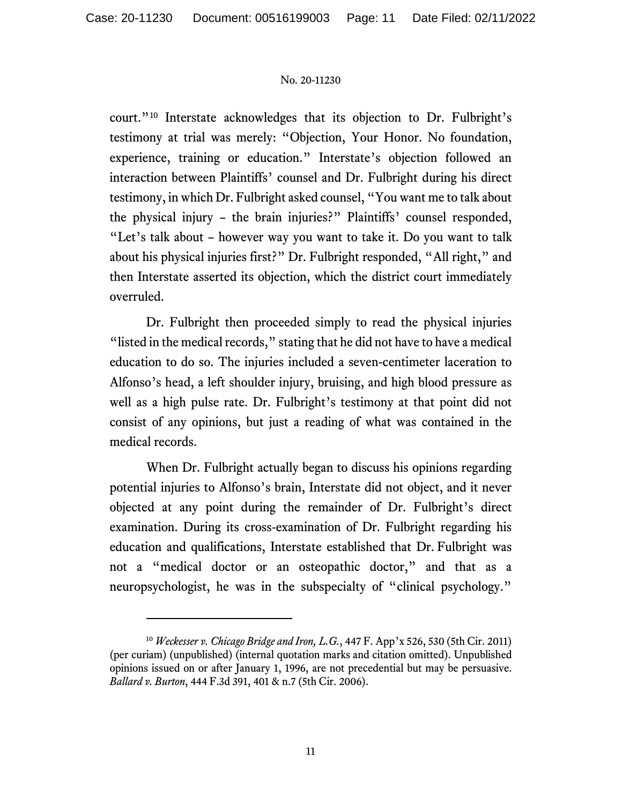court."[10](#page-10-0) Interstate acknowledges that its objection to Dr. Fulbright's testimony at trial was merely: "Objection, Your Honor. No foundation, experience, training or education." Interstate's objection followed an interaction between Plaintiffs' counsel and Dr. Fulbright during his direct testimony, in which Dr. Fulbright asked counsel, "You want me to talk about the physical injury – the brain injuries?" Plaintiffs' counsel responded, "Let's talk about – however way you want to take it. Do you want to talk about his physical injuries first?" Dr. Fulbright responded, "All right," and then Interstate asserted its objection, which the district court immediately overruled.

Dr. Fulbright then proceeded simply to read the physical injuries "listed in the medical records," stating that he did not have to have a medical education to do so. The injuries included a seven-centimeter laceration to Alfonso's head, a left shoulder injury, bruising, and high blood pressure as well as a high pulse rate. Dr. Fulbright's testimony at that point did not consist of any opinions, but just a reading of what was contained in the medical records.

When Dr. Fulbright actually began to discuss his opinions regarding potential injuries to Alfonso's brain, Interstate did not object, and it never objected at any point during the remainder of Dr. Fulbright's direct examination. During its cross-examination of Dr. Fulbright regarding his education and qualifications, Interstate established that Dr. Fulbright was not a "medical doctor or an osteopathic doctor," and that as a neuropsychologist, he was in the subspecialty of "clinical psychology."

<span id="page-10-0"></span><sup>10</sup> *Weckesser v. Chicago Bridge and Iron, L.G.*, 447 F. App'x 526, 530 (5th Cir. 2011) (per curiam) (unpublished) (internal quotation marks and citation omitted). Unpublished opinions issued on or after January 1, 1996, are not precedential but may be persuasive. *Ballard v. Burton*, 444 F.3d 391, 401 & n.7 (5th Cir. 2006).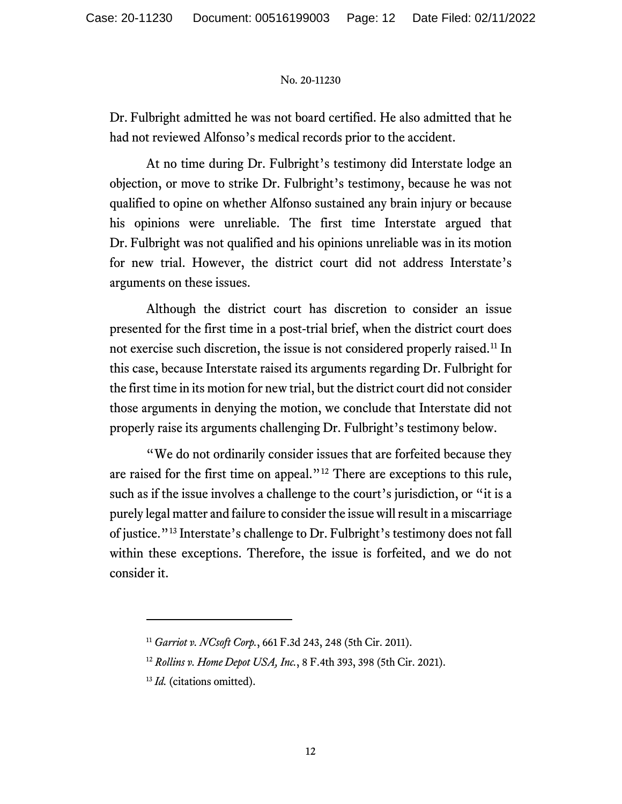Dr. Fulbright admitted he was not board certified. He also admitted that he had not reviewed Alfonso's medical records prior to the accident.

At no time during Dr. Fulbright's testimony did Interstate lodge an objection, or move to strike Dr. Fulbright's testimony, because he was not qualified to opine on whether Alfonso sustained any brain injury or because his opinions were unreliable. The first time Interstate argued that Dr. Fulbright was not qualified and his opinions unreliable was in its motion for new trial. However, the district court did not address Interstate's arguments on these issues.

Although the district court has discretion to consider an issue presented for the first time in a post-trial brief, when the district court does not exercise such discretion, the issue is not considered properly raised.<sup>[11](#page-11-0)</sup> In this case, because Interstate raised its arguments regarding Dr. Fulbright for the first time in its motion for new trial, but the district court did not consider those arguments in denying the motion, we conclude that Interstate did not properly raise its arguments challenging Dr. Fulbright's testimony below.

"We do not ordinarily consider issues that are forfeited because they are raised for the first time on appeal."[12](#page-11-1) There are exceptions to this rule, such as if the issue involves a challenge to the court's jurisdiction, or "it is a purely legal matter and failure to consider the issue will result in a miscarriage of justice."[13](#page-11-2) Interstate's challenge to Dr. Fulbright's testimony does not fall within these exceptions. Therefore, the issue is forfeited, and we do not consider it.

<span id="page-11-1"></span><span id="page-11-0"></span><sup>11</sup> *Garriot v. NCsoft Corp.*, 661 F.3d 243, 248 (5th Cir. 2011).

<sup>12</sup> *Rollins v. Home Depot USA, Inc.*, 8 F.4th 393, 398 (5th Cir. 2021).

<span id="page-11-2"></span><sup>&</sup>lt;sup>13</sup> *Id.* (citations omitted).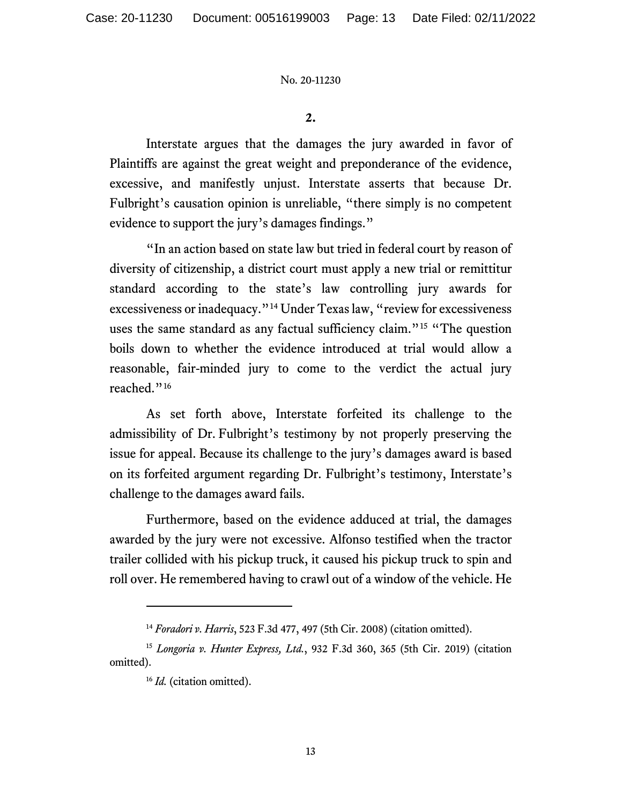**2.**

Interstate argues that the damages the jury awarded in favor of Plaintiffs are against the great weight and preponderance of the evidence, excessive, and manifestly unjust. Interstate asserts that because Dr. Fulbright's causation opinion is unreliable, "there simply is no competent evidence to support the jury's damages findings."

"In an action based on state law but tried in federal court by reason of diversity of citizenship, a district court must apply a new trial or remittitur standard according to the state's law controlling jury awards for excessiveness or inadequacy."[14](#page-12-0) Under Texaslaw, "review for excessiveness uses the same standard as any factual sufficiency claim."<sup>[15](#page-12-1)</sup> "The question boils down to whether the evidence introduced at trial would allow a reasonable, fair-minded jury to come to the verdict the actual jury reached."[16](#page-12-2)

As set forth above, Interstate forfeited its challenge to the admissibility of Dr. Fulbright's testimony by not properly preserving the issue for appeal. Because its challenge to the jury's damages award is based on its forfeited argument regarding Dr. Fulbright's testimony, Interstate's challenge to the damages award fails.

Furthermore, based on the evidence adduced at trial, the damages awarded by the jury were not excessive. Alfonso testified when the tractor trailer collided with his pickup truck, it caused his pickup truck to spin and roll over. He remembered having to crawl out of a window of the vehicle. He

<sup>14</sup> *Foradori v. Harris*, 523 F.3d 477, 497 (5th Cir. 2008) (citation omitted).

<span id="page-12-2"></span><span id="page-12-1"></span><span id="page-12-0"></span><sup>15</sup> *Longoria v. Hunter Express, Ltd.*, 932 F.3d 360, 365 (5th Cir. 2019) (citation omitted).

<sup>&</sup>lt;sup>16</sup> *Id.* (citation omitted).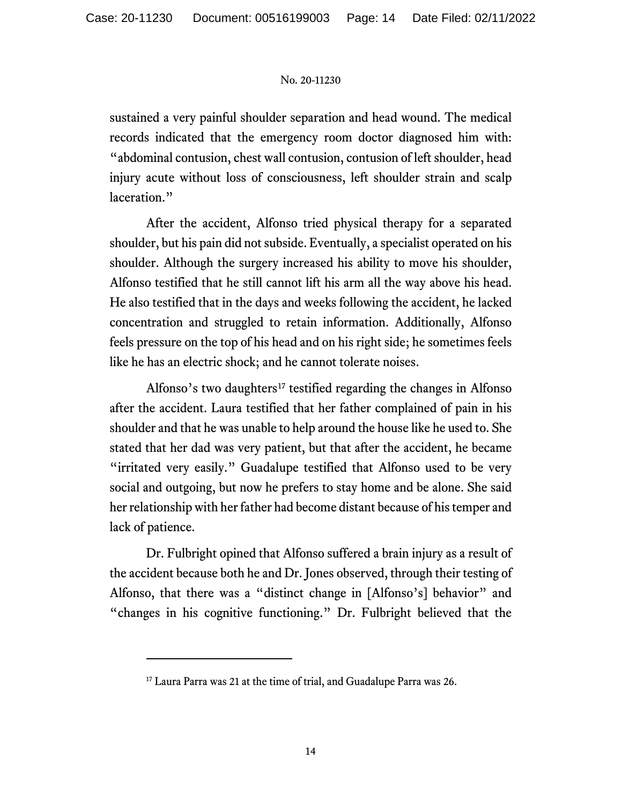sustained a very painful shoulder separation and head wound. The medical records indicated that the emergency room doctor diagnosed him with: "abdominal contusion, chest wall contusion, contusion of left shoulder, head injury acute without loss of consciousness, left shoulder strain and scalp laceration."

After the accident, Alfonso tried physical therapy for a separated shoulder, but his pain did not subside. Eventually, a specialist operated on his shoulder. Although the surgery increased his ability to move his shoulder, Alfonso testified that he still cannot lift his arm all the way above his head. He also testified that in the days and weeks following the accident, he lacked concentration and struggled to retain information. Additionally, Alfonso feels pressure on the top of his head and on his right side; he sometimes feels like he has an electric shock; and he cannot tolerate noises.

Alfonso's two daughters<sup>[17](#page-13-0)</sup> testified regarding the changes in Alfonso after the accident. Laura testified that her father complained of pain in his shoulder and that he was unable to help around the house like he used to. She stated that her dad was very patient, but that after the accident, he became "irritated very easily." Guadalupe testified that Alfonso used to be very social and outgoing, but now he prefers to stay home and be alone. She said her relationship with her father had become distant because of his temper and lack of patience.

Dr. Fulbright opined that Alfonso suffered a brain injury as a result of the accident because both he and Dr. Jones observed, through their testing of Alfonso, that there was a "distinct change in [Alfonso's] behavior" and "changes in his cognitive functioning." Dr. Fulbright believed that the

<span id="page-13-0"></span><sup>&</sup>lt;sup>17</sup> Laura Parra was 21 at the time of trial, and Guadalupe Parra was 26.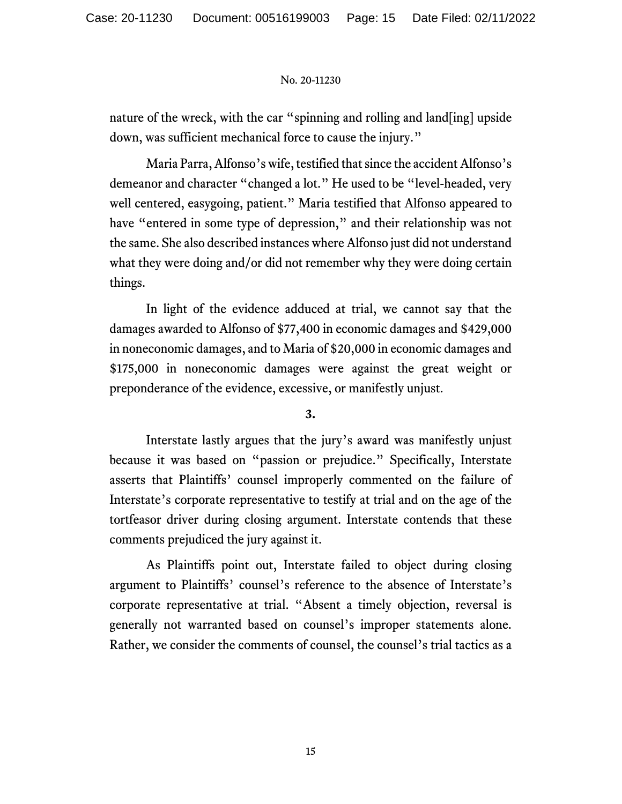nature of the wreck, with the car "spinning and rolling and land[ing] upside down, was sufficient mechanical force to cause the injury."

Maria Parra, Alfonso's wife, testified that since the accident Alfonso's demeanor and character "changed a lot." He used to be "level-headed, very well centered, easygoing, patient." Maria testified that Alfonso appeared to have "entered in some type of depression," and their relationship was not the same. She also described instances where Alfonso just did not understand what they were doing and/or did not remember why they were doing certain things.

In light of the evidence adduced at trial, we cannot say that the damages awarded to Alfonso of \$77,400 in economic damages and \$429,000 in noneconomic damages, and to Maria of \$20,000 in economic damages and \$175,000 in noneconomic damages were against the great weight or preponderance of the evidence, excessive, or manifestly unjust.

**3.**

Interstate lastly argues that the jury's award was manifestly unjust because it was based on "passion or prejudice." Specifically, Interstate asserts that Plaintiffs' counsel improperly commented on the failure of Interstate's corporate representative to testify at trial and on the age of the tortfeasor driver during closing argument. Interstate contends that these comments prejudiced the jury against it.

As Plaintiffs point out, Interstate failed to object during closing argument to Plaintiffs' counsel's reference to the absence of Interstate's corporate representative at trial. "Absent a timely objection, reversal is generally not warranted based on counsel's improper statements alone. Rather, we consider the comments of counsel, the counsel's trial tactics as a